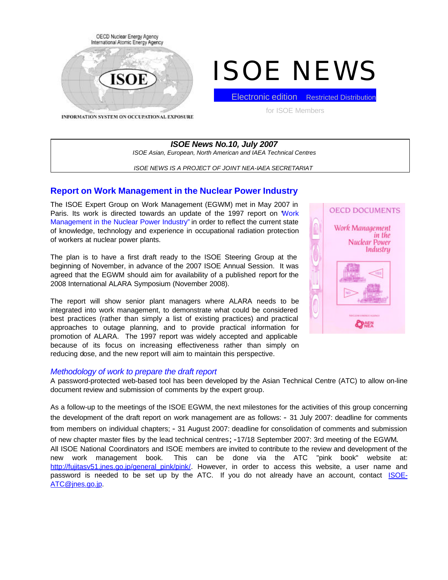

# ISOE NEWS

INFORMATION SYSTEM ON OCCUPATIONAL EXPOSURE

Electronic edition Restricted Distribution

for ISOE Members

*ISOE News No.10, July 2007 ISOE Asian, European, North American and IAEA Technical Centres*

*ISOE NEWS IS A PROJECT OF JOINT NEA-IAEA SECRETARIAT*

## **Report on Work Management in the Nuclear Power Industry**

The ISOE Expert Group on Work Management (EGWM) met in May 2007 in Paris. Its work is directed towards an update of the 1997 report on 'Work Management in the Nuclear Power Industry" in order to reflect the current state of knowledge, technology and experience in occupational radiation protection of workers at nuclear power plants.

The plan is to have a first draft ready to the ISOE Steering Group at the beginning of November, in advance of the 2007 ISOE Annual Session. It was agreed that the EGWM should aim for availability of a published report for the 2008 International ALARA Symposium (November 2008).

The report will show senior plant managers where ALARA needs to be integrated into work management, to demonstrate what could be considered best practices (rather than simply a list of existing practices) and practical approaches to outage planning, and to provide practical information for promotion of ALARA. The 1997 report was widely accepted and applicable because of its focus on increasing effectiveness rather than simply on reducing dose, and the new report will aim to maintain this perspective.

## *Methodology of work to prepare the draft report*

A password-protected web-based tool has been developed by the Asian Technical Centre (ATC) to allow on-line document review and submission of comments by the expert group.

As a follow-up to the meetings of the ISOE EGWM, the next milestones for the activities of this group concerning the development of the draft report on work management are as follows: - 31 July 2007: deadline for comments from members on individual chapters; - 31 August 2007: deadline for consolidation of comments and submission of new chapter master files by the lead technical centres; -17/18 September 2007: 3rd meeting of the EGWM. All ISOE National Coordinators and ISOE members are invited to contribute to the review and development of the new work management book. This can be done via the ATC "pink book" website at: http://fujitasv51.jnes.go.jp/general\_pink/pink/. However, in order to access this website, a user name and password is needed to be set up by the ATC. If you do not already have an account, contact ISOE-ATC@jnes.go.jp.

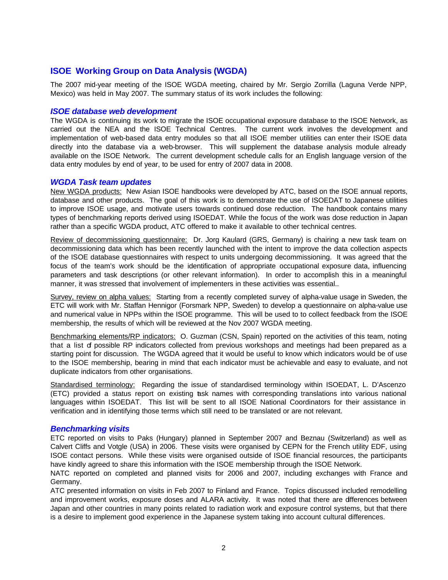# **ISOE Working Group on Data Analysis (WGDA)**

The 2007 mid-year meeting of the ISOE WGDA meeting, chaired by Mr. Sergio Zorrilla (Laguna Verde NPP, Mexico) was held in May 2007. The summary status of its work includes the following:

## *ISOE database web development*

The WGDA is continuing its work to migrate the ISOE occupational exposure database to the ISOE Network, as carried out the NEA and the ISOE Technical Centres. The current work involves the development and implementation of web-based data entry modules so that all ISOE member utilities can enter their ISOE data directly into the database via a web-browser. This will supplement the database analysis module already available on the ISOE Network. The current development schedule calls for an English language version of the data entry modules by end of year, to be used for entry of 2007 data in 2008.

## *WGDA Task team updates*

New WGDA products: New Asian ISOE handbooks were developed by ATC, based on the ISOE annual reports, database and other products. The goal of this work is to demonstrate the use of ISOEDAT to Japanese utilities to improve ISOE usage, and motivate users towards continued dose reduction. The handbook contains many types of benchmarking reports derived using ISOEDAT. While the focus of the work was dose reduction in Japan rather than a specific WGDA product, ATC offered to make it available to other technical centres.

Review of decommissioning questionnaire: Dr. Jorg Kaulard (GRS, Germany) is chairing a new task team on decommissioning data which has been recently launched with the intent to improve the data collection aspects of the ISOE database questionnaires with respect to units undergoing decommissioning. It was agreed that the focus of the team's work should be the identification of appropriate occupational exposure data, influencing parameters and task descriptions (or other relevant information). In order to accomplish this in a meaningful manner, it was stressed that involvement of implementers in these activities was essential..

Survey, review on alpha values: Starting from a recently completed survey of alpha-value usage in Sweden, the ETC will work with Mr. Staffan Hennigor (Forsmark NPP, Sweden) to develop a questionnaire on alpha-value use and numerical value in NPPs within the ISOE programme. This will be used to to collect feedback from the ISOE membership, the results of which will be reviewed at the Nov 2007 WGDA meeting.

Benchmarking elements/RP indicators: O. Guzman (CSN, Spain) reported on the activities of this team, noting that a list of possible RP indicators collected from previous workshops and meetings had been prepared as a starting point for discussion. The WGDA agreed that it would be useful to know which indicators would be of use to the ISOE membership, bearing in mind that each indicator must be achievable and easy to evaluate, and not duplicate indicators from other organisations.

Standardised terminology: Regarding the issue of standardised terminology within ISOEDAT, L. D'Ascenzo (ETC) provided a status report on existing task names with corresponding translations into various national languages within ISOEDAT. This list will be sent to all ISOE National Coordinators for their assistance in verification and in identifying those terms which still need to be translated or are not relevant.

## *Benchmarking visits*

ETC reported on visits to Paks (Hungary) planned in September 2007 and Beznau (Switzerland) as well as Calvert Cliffs and Votgle (USA) in 2006. These visits were organised by CEPN for the French utility EDF, using ISOE contact persons. While these visits were organised outside of ISOE financial resources, the participants have kindly agreed to share this information with the ISOE membership through the ISOE Network.

NATC reported on completed and planned visits for 2006 and 2007, including exchanges with France and Germany.

ATC presented information on visits in Feb 2007 to Finland and France. Topics discussed included remodelling and improvement works, exposure doses and ALARA activity. It was noted that there are differences between Japan and other countries in many points related to radiation work and exposure control systems, but that there is a desire to implement good experience in the Japanese system taking into account cultural differences.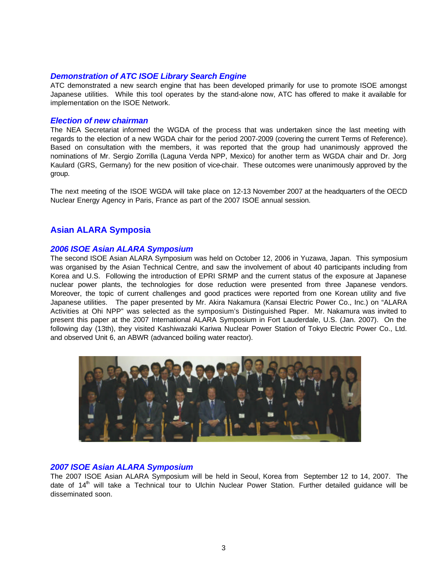## *Demonstration of ATC ISOE Library Search Engine*

ATC demonstrated a new search engine that has been developed primarily for use to promote ISOE amongst Japanese utilities. While this tool operates by the stand-alone now, ATC has offered to make it available for implementation on the ISOE Network.

## *Election of new chairman*

The NEA Secretariat informed the WGDA of the process that was undertaken since the last meeting with regards to the election of a new WGDA chair for the period 2007-2009 (covering the current Terms of Reference). Based on consultation with the members, it was reported that the group had unanimously approved the nominations of Mr. Sergio Zorrilla (Laguna Verda NPP, Mexico) for another term as WGDA chair and Dr. Jorg Kaulard (GRS, Germany) for the new position of vice-chair. These outcomes were unanimously approved by the group.

The next meeting of the ISOE WGDA will take place on 12-13 November 2007 at the headquarters of the OECD Nuclear Energy Agency in Paris, France as part of the 2007 ISOE annual session.

# **Asian ALARA Symposia**

## *2006 ISOE Asian ALARA Symposium*

The second ISOE Asian ALARA Symposium was held on October 12, 2006 in Yuzawa, Japan. This symposium was organised by the Asian Technical Centre, and saw the involvement of about 40 participants including from Korea and U.S. Following the introduction of EPRI SRMP and the current status of the exposure at Japanese nuclear power plants, the technologies for dose reduction were presented from three Japanese vendors. Moreover, the topic of current challenges and good practices were reported from one Korean utility and five Japanese utilities. The paper presented by Mr. Akira Nakamura (Kansai Electric Power Co., Inc.) on "ALARA Activities at Ohi NPP" was selected as the symposium's Distinguished Paper. Mr. Nakamura was invited to present this paper at the 2007 International ALARA Symposium in Fort Lauderdale, U.S. (Jan. 2007). On the following day (13th), they visited Kashiwazaki Kariwa Nuclear Power Station of Tokyo Electric Power Co., Ltd. and observed Unit 6, an ABWR (advanced boiling water reactor).



## *2007 ISOE Asian ALARA Symposium*

The 2007 ISOE Asian ALARA Symposium will be held in Seoul, Korea from September 12 to 14, 2007. The date of  $14<sup>th</sup>$  will take a Technical tour to Ulchin Nuclear Power Station. Further detailed guidance will be disseminated soon.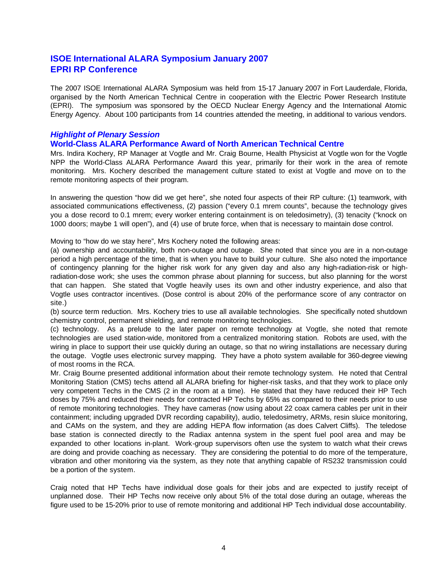# **ISOE International ALARA Symposium January 2007 EPRI RP Conference**

The 2007 ISOE International ALARA Symposium was held from 15-17 January 2007 in Fort Lauderdale, Florida, organised by the North American Technical Centre in cooperation with the Electric Power Research Institute (EPRI). The symposium was sponsored by the OECD Nuclear Energy Agency and the International Atomic Energy Agency. About 100 participants from 14 countries attended the meeting, in additional to various vendors.

# *Highlight of Plenary Session*

## **World-Class ALARA Performance Award of North American Technical Centre**

Mrs. Indira Kochery, RP Manager at Vogtle and Mr. Craig Bourne, Health Physicist at Vogtle won for the Vogtle NPP the World-Class ALARA Performance Award this year, primarily for their work in the area of remote monitoring. Mrs. Kochery described the management culture stated to exist at Vogtle and move on to the remote monitoring aspects of their program.

In answering the question "how did we get here", she noted four aspects of their RP culture: (1) teamwork, with associated communications effectiveness, (2) passion ("every 0.1 mrem counts", because the technology gives you a dose record to 0.1 mrem; every worker entering containment is on teledosimetry), (3) tenacity ("knock on 1000 doors; maybe 1 will open"), and (4) use of brute force, when that is necessary to maintain dose control.

Moving to "how do we stay here", Mrs Kochery noted the following areas:

(a) ownership and accountability, both non-outage and outage. She noted that since you are in a non-outage period a high percentage of the time, that is when you have to build your culture. She also noted the importance of contingency planning for the higher risk work for any given day and also any high-radiation-risk or highradiation-dose work; she uses the common phrase about planning for success, but also planning for the worst that can happen. She stated that Vogtle heavily uses its own and other industry experience, and also that Vogtle uses contractor incentives. (Dose control is about 20% of the performance score of any contractor on site.)

(b) source term reduction. Mrs. Kochery tries to use all available technologies. She specifically noted shutdown chemistry control, permanent shielding, and remote monitoring technologies.

(c) technology. As a prelude to the later paper on remote technology at Vogtle, she noted that remote technologies are used station-wide, monitored from a centralized monitoring station. Robots are used, with the wiring in place to support their use quickly during an outage, so that no wiring installations are necessary during the outage. Vogtle uses electronic survey mapping. They have a photo system available for 360-degree viewing of most rooms in the RCA.

Mr. Craig Bourne presented additional information about their remote technology system. He noted that Central Monitoring Station (CMS) techs attend all ALARA briefing for higher-risk tasks, and that they work to place only very competent Techs in the CMS (2 in the room at a time). He stated that they have reduced their HP Tech doses by 75% and reduced their needs for contracted HP Techs by 65% as compared to their needs prior to use of remote monitoring technologies. They have cameras (now using about 22 coax camera cables per unit in their containment; including upgraded DVR recording capability), audio, teledosimetry, ARMs, resin sluice monitoring, and CAMs on the system, and they are adding HEPA flow information (as does Calvert Cliffs). The teledose base station is connected directly to the Radiax antenna system in the spent fuel pool area and may be expanded to other locations in-plant. Work-group supervisors often use the system to watch what their crews are doing and provide coaching as necessary. They are considering the potential to do more of the temperature, vibration and other monitoring via the system, as they note that anything capable of RS232 transmission could be a portion of the system.

Craig noted that HP Techs have individual dose goals for their jobs and are expected to justify receipt of unplanned dose. Their HP Techs now receive only about 5% of the total dose during an outage, whereas the figure used to be 15-20% prior to use of remote monitoring and additional HP Tech individual dose accountability.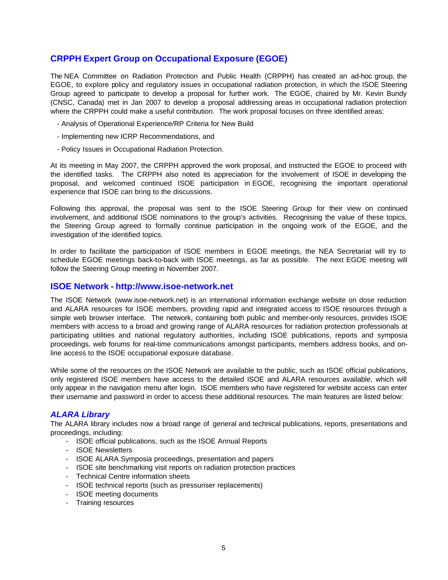# **CRPPH Expert Group on Occupational Exposure (EGOE)**

The NEA Committee on Radiation Protection and Public Health (CRPPH) has created an ad-hoc group, the EGOE, to explore policy and regulatory issues in occupational radiation protection, in which the ISOE Steering Group agreed to participate to develop a proposal for further work. The EGOE, chaired by Mr. Kevin Bundy (CNSC, Canada) met in Jan 2007 to develop a proposal addressing areas in occupational radiation protection where the CRPPH could make a useful contribution. The work proposal focuses on three identified areas:

- Analysis of Operational Experience/RP Criteria for New Build
- Implementing new ICRP Recommendations, and
- Policy Issues in Occupational Radiation Protection.

At its meeting in May 2007, the CRPPH approved the work proposal, and instructed the EGOE to proceed with the identified tasks. The CRPPH also noted its appreciation for the involvement of ISOE in developing the proposal, and welcomed continued ISOE participation in EGOE, recognising the important operational experience that ISOE can bring to the discussions.

Following this approval, the proposal was sent to the ISOE Steering Group for their view on continued involvement, and additional ISOE nominations to the group's activities. Recognising the value of these topics, the Steering Group agreed to formally continue participation in the ongoing work of the EGOE, and the investigation of the identified topics.

In order to facilitate the participation of ISOE members in EGOE meetings, the NEA Secretariat will try to schedule EGOE meetings back-to-back with ISOE meetings, as far as possible. The next EGOE meeting will follow the Steering Group meeting in November 2007.

## **ISOE Network - http://www.isoe-network.net**

The ISOE Network (www.isoe-network.net) is an international information exchange website on dose reduction and ALARA resources for ISOE members, providing rapid and integrated access to ISOE resources through a simple web browser interface. The network, containing both public and member-only resources, provides ISOE members with access to a broad and growing range of ALARA resources for radiation protection professionals at participating utilities and national regulatory authorities, including ISOE publications, reports and symposia proceedings, web forums for real-time communications amongst participants, members address books, and online access to the ISOE occupational exposure database.

While some of the resources on the ISOE Network are available to the public, such as ISOE official publications, only registered ISOE members have access to the detailed ISOE and ALARA resources available, which will only appear in the navigation menu after login. ISOE members who have registered for website access can enter their username and password in order to access these additional resources. The main features are listed below:

## *ALARA Library*

The ALARA library includes now a broad range of general and technical publications, reports, presentations and proceedings, including:

- ISOE official publications, such as the ISOE Annual Reports
- ISOE Newsletters
- ISOE ALARA Symposia proceedings, presentation and papers
- ISOE site benchmarking visit reports on radiation protection practices
- Technical Centre information sheets
- ISOE technical reports (such as pressuriser replacements)
- ISOE meeting documents
- Training resources